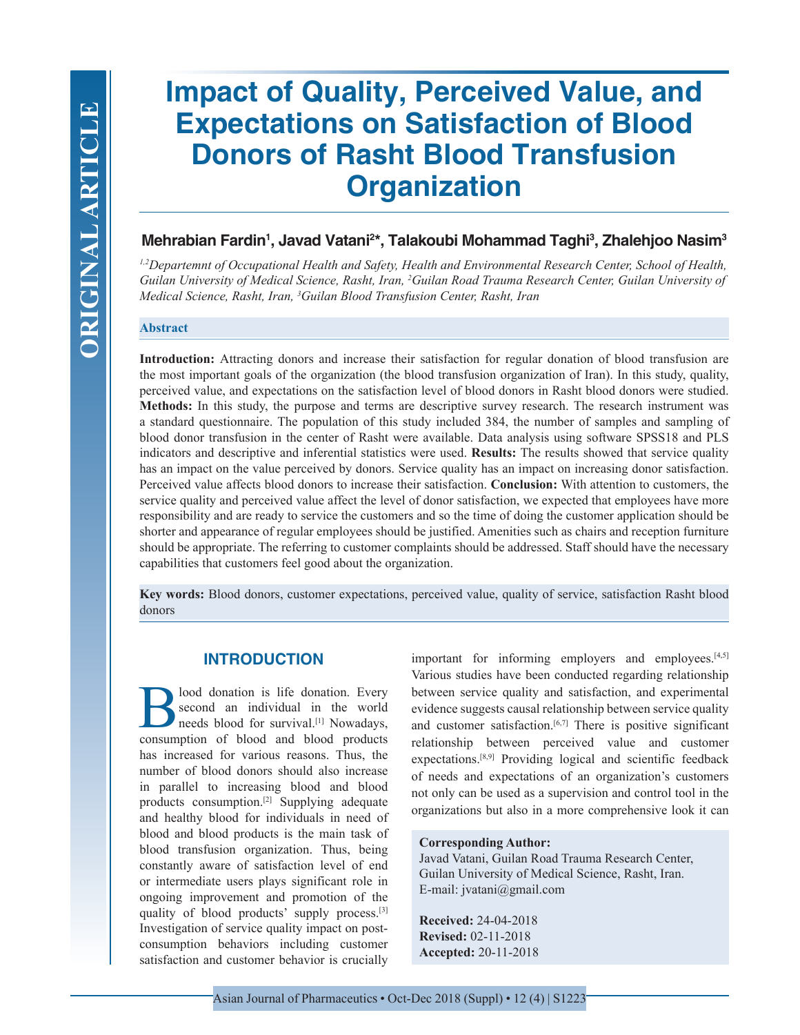# **Impact of Quality, Perceived Value, and Expectations on Satisfaction of Blood Donors of Rasht Blood Transfusion Organization**

# **Mehrabian Fardin1 , Javad Vatani2 \*, Talakoubi Mohammad Taghi3 , Zhalehjoo Nasim3**

*1,2Departemnt of Occupational Health and Safety, Health and Environmental Research Center, School of Health,*  Guilan University of Medical Science, Rasht, Iran, <sup>2</sup>Guilan Road Trauma Research Center, Guilan University of *Medical Science, Rasht, Iran, 3 Guilan Blood Transfusion Center, Rasht, Iran*

#### **Abstract**

**Introduction:** Attracting donors and increase their satisfaction for regular donation of blood transfusion are the most important goals of the organization (the blood transfusion organization of Iran). In this study, quality, perceived value, and expectations on the satisfaction level of blood donors in Rasht blood donors were studied. **Methods:** In this study, the purpose and terms are descriptive survey research. The research instrument was a standard questionnaire. The population of this study included 384, the number of samples and sampling of blood donor transfusion in the center of Rasht were available. Data analysis using software SPSS18 and PLS indicators and descriptive and inferential statistics were used. **Results:** The results showed that service quality has an impact on the value perceived by donors. Service quality has an impact on increasing donor satisfaction. Perceived value affects blood donors to increase their satisfaction. **Conclusion:** With attention to customers, the service quality and perceived value affect the level of donor satisfaction, we expected that employees have more responsibility and are ready to service the customers and so the time of doing the customer application should be shorter and appearance of regular employees should be justified. Amenities such as chairs and reception furniture should be appropriate. The referring to customer complaints should be addressed. Staff should have the necessary capabilities that customers feel good about the organization.

**Key words:** Blood donors, customer expectations, perceived value, quality of service, satisfaction Rasht blood donors

## **INTRODUCTION**

lood donation is life donation. Every second an individual in the world needs blood for survival.[1] Nowadays, consumption of blood and blood products has increased for various reasons. Thus, the number of blood donors should also increase in parallel to increasing blood and blood products consumption.[2] Supplying adequate and healthy blood for individuals in need of blood and blood products is the main task of blood transfusion organization. Thus, being constantly aware of satisfaction level of end or intermediate users plays significant role in ongoing improvement and promotion of the quality of blood products' supply process.[3] Investigation of service quality impact on postconsumption behaviors including customer satisfaction and customer behavior is crucially

important for informing employers and employees.<sup>[4,5]</sup> Various studies have been conducted regarding relationship between service quality and satisfaction, and experimental evidence suggests causal relationship between service quality and customer satisfaction.<sup>[6,7]</sup> There is positive significant relationship between perceived value and customer expectations.[8,9] Providing logical and scientific feedback of needs and expectations of an organization's customers not only can be used as a supervision and control tool in the organizations but also in a more comprehensive look it can

#### **Corresponding Author:**

Javad Vatani, Guilan Road Trauma Research Center, Guilan University of Medical Science, Rasht, Iran. E-mail: jvatani@gmail.com

**Received:** 24-04-2018 **Revised:** 02-11-2018 **Accepted:** 20-11-2018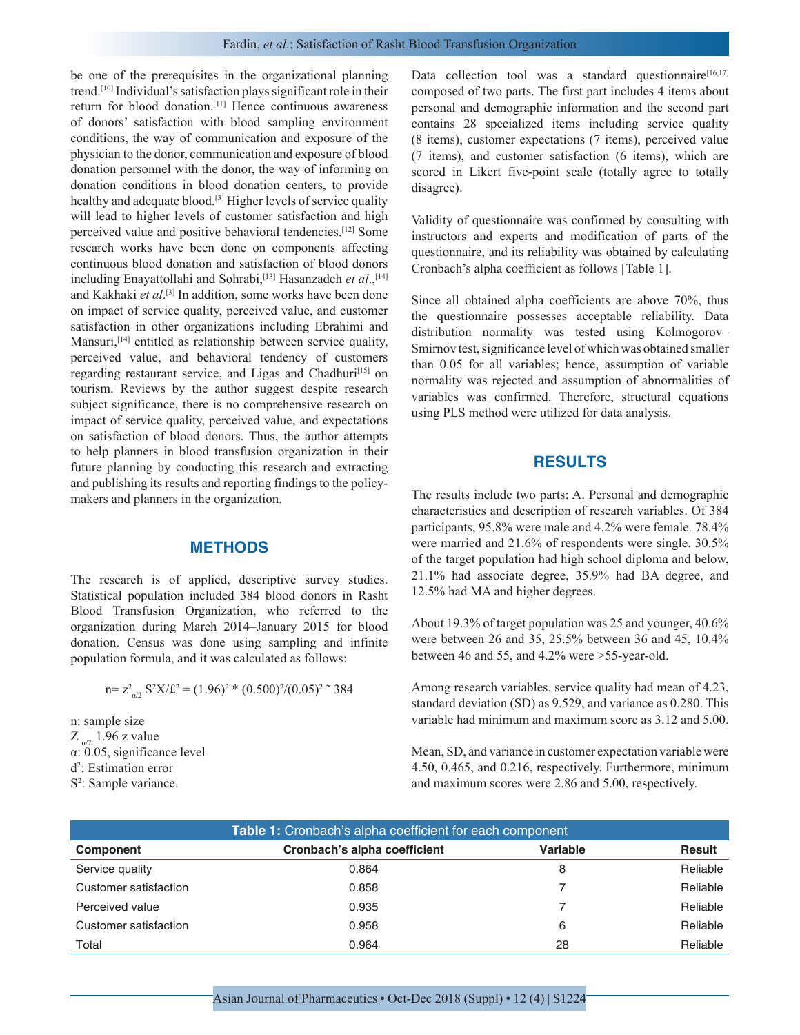be one of the prerequisites in the organizational planning trend.[10] Individual's satisfaction plays significant role in their return for blood donation.[11] Hence continuous awareness of donors' satisfaction with blood sampling environment conditions, the way of communication and exposure of the physician to the donor, communication and exposure of blood donation personnel with the donor, the way of informing on donation conditions in blood donation centers, to provide healthy and adequate blood.<sup>[3]</sup> Higher levels of service quality will lead to higher levels of customer satisfaction and high perceived value and positive behavioral tendencies.[12] Some research works have been done on components affecting continuous blood donation and satisfaction of blood donors including Enayattollahi and Sohrabi,[13] Hasanzadeh *et al*.,[14] and Kakhaki *et al*. [3] In addition, some works have been done on impact of service quality, perceived value, and customer satisfaction in other organizations including Ebrahimi and Mansuri,<sup>[14]</sup> entitled as relationship between service quality, perceived value, and behavioral tendency of customers regarding restaurant service, and Ligas and Chadhuri<sup>[15]</sup> on tourism. Reviews by the author suggest despite research subject significance, there is no comprehensive research on impact of service quality, perceived value, and expectations on satisfaction of blood donors. Thus, the author attempts to help planners in blood transfusion organization in their future planning by conducting this research and extracting and publishing its results and reporting findings to the policymakers and planners in the organization.

### **METHODS**

The research is of applied, descriptive survey studies. Statistical population included 384 blood donors in Rasht Blood Transfusion Organization, who referred to the organization during March 2014–January 2015 for blood donation. Census was done using sampling and infinite population formula, and it was calculated as follows:

$$
n = z_{\omega 2}^2 S^2 X / \mathfrak{L}^2 = (1.96)^2 * (0.500)^2 / (0.05)^2 \text{ s}^2 384
$$

n: sample size  $Z_{\alpha/2}$  1.96 z value α: 0.05, significance level d2 : Estimation error S<sup>2</sup>: Sample variance.

Data collection tool was a standard questionnaire<sup>[16,17]</sup> composed of two parts. The first part includes 4 items about personal and demographic information and the second part contains 28 specialized items including service quality (8 items), customer expectations (7 items), perceived value (7 items), and customer satisfaction (6 items), which are scored in Likert five-point scale (totally agree to totally disagree).

Validity of questionnaire was confirmed by consulting with instructors and experts and modification of parts of the questionnaire, and its reliability was obtained by calculating Cronbach's alpha coefficient as follows [Table 1].

Since all obtained alpha coefficients are above 70%, thus the questionnaire possesses acceptable reliability. Data distribution normality was tested using Kolmogorov– Smirnov test, significance level of which was obtained smaller than 0.05 for all variables; hence, assumption of variable normality was rejected and assumption of abnormalities of variables was confirmed. Therefore, structural equations using PLS method were utilized for data analysis.

#### **RESULTS**

The results include two parts: A. Personal and demographic characteristics and description of research variables. Of 384 participants, 95.8% were male and 4.2% were female. 78.4% were married and 21.6% of respondents were single. 30.5% of the target population had high school diploma and below, 21.1% had associate degree, 35.9% had BA degree, and 12.5% had MA and higher degrees.

About 19.3% of target population was 25 and younger, 40.6% were between 26 and 35, 25.5% between 36 and 45, 10.4% between 46 and 55, and 4.2% were >55-year-old.

Among research variables, service quality had mean of 4.23, standard deviation (SD) as 9.529, and variance as 0.280. This variable had minimum and maximum score as 3.12 and 5.00.

Mean, SD, and variance in customer expectation variable were 4.50, 0.465, and 0.216, respectively. Furthermore, minimum and maximum scores were 2.86 and 5.00, respectively.

| Table 1: Cronbach's alpha coefficient for each component |                              |                 |               |  |  |  |  |
|----------------------------------------------------------|------------------------------|-----------------|---------------|--|--|--|--|
| <b>Component</b>                                         | Cronbach's alpha coefficient | <b>Variable</b> | <b>Result</b> |  |  |  |  |
| Service quality                                          | 0.864                        | 8               | Reliable      |  |  |  |  |
| Customer satisfaction                                    | 0.858                        |                 | Reliable      |  |  |  |  |
| Perceived value                                          | 0.935                        |                 | Reliable      |  |  |  |  |
| Customer satisfaction                                    | 0.958                        | 6               | Reliable      |  |  |  |  |
| Total                                                    | 0.964                        | 28              | Reliable      |  |  |  |  |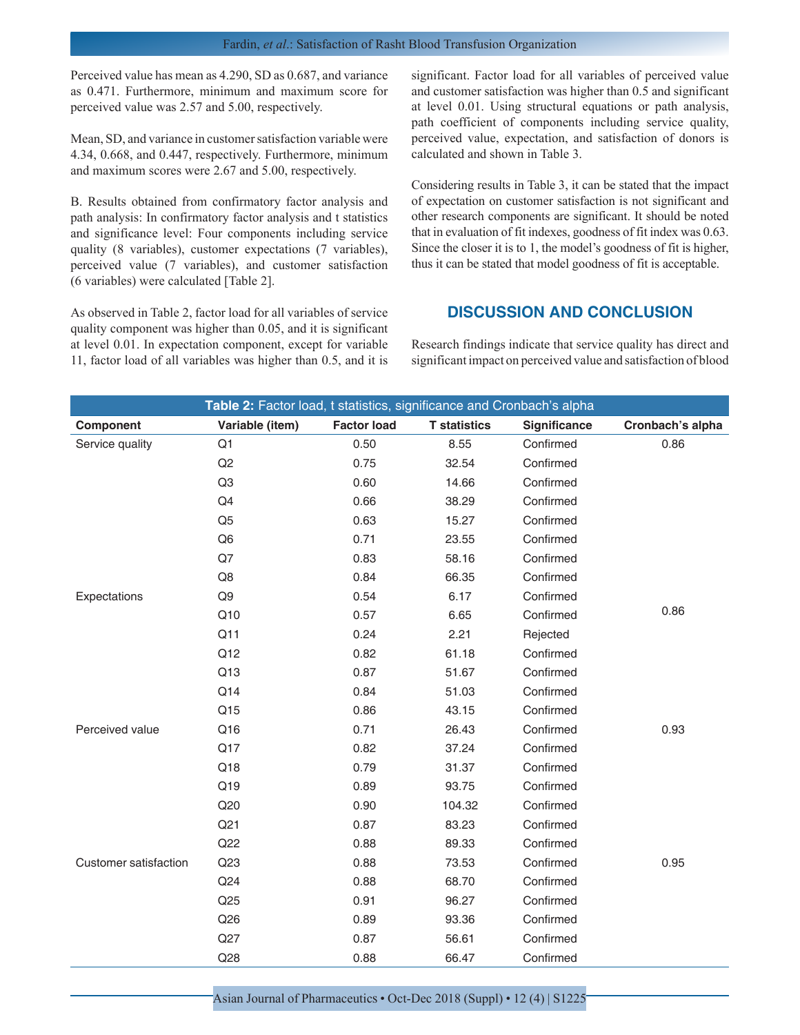Perceived value has mean as 4.290, SD as 0.687, and variance as 0.471. Furthermore, minimum and maximum score for perceived value was 2.57 and 5.00, respectively.

Mean, SD, and variance in customer satisfaction variable were 4.34, 0.668, and 0.447, respectively. Furthermore, minimum and maximum scores were 2.67 and 5.00, respectively.

B. Results obtained from confirmatory factor analysis and path analysis: In confirmatory factor analysis and t statistics and significance level: Four components including service quality (8 variables), customer expectations (7 variables), perceived value (7 variables), and customer satisfaction (6 variables) were calculated [Table 2].

As observed in Table 2, factor load for all variables of service quality component was higher than 0.05, and it is significant at level 0.01. In expectation component, except for variable 11, factor load of all variables was higher than 0.5, and it is significant. Factor load for all variables of perceived value and customer satisfaction was higher than 0.5 and significant at level 0.01. Using structural equations or path analysis, path coefficient of components including service quality, perceived value, expectation, and satisfaction of donors is calculated and shown in Table 3.

Considering results in Table 3, it can be stated that the impact of expectation on customer satisfaction is not significant and other research components are significant. It should be noted that in evaluation of fit indexes, goodness of fit index was 0.63. Since the closer it is to 1, the model's goodness of fit is higher, thus it can be stated that model goodness of fit is acceptable.

# **DISCUSSION AND CONCLUSION**

Research findings indicate that service quality has direct and significant impact on perceived value and satisfaction of blood

| Table 2: Factor load, t statistics, significance and Cronbach's alpha |                 |                    |                     |              |                  |  |  |
|-----------------------------------------------------------------------|-----------------|--------------------|---------------------|--------------|------------------|--|--|
| Component                                                             | Variable (item) | <b>Factor load</b> | <b>T</b> statistics | Significance | Cronbach's alpha |  |  |
| Service quality                                                       | Q1              | 0.50               | 8.55                | Confirmed    | 0.86             |  |  |
|                                                                       | Q2              | 0.75               | 32.54               | Confirmed    |                  |  |  |
|                                                                       | Q <sub>3</sub>  | 0.60               | 14.66               | Confirmed    |                  |  |  |
|                                                                       | Q4              | 0.66               | 38.29               | Confirmed    |                  |  |  |
|                                                                       | Q <sub>5</sub>  | 0.63               | 15.27               | Confirmed    |                  |  |  |
|                                                                       | Q <sub>6</sub>  | 0.71               | 23.55               | Confirmed    |                  |  |  |
|                                                                       | Q7              | 0.83               | 58.16               | Confirmed    |                  |  |  |
|                                                                       | Q8              | 0.84               | 66.35               | Confirmed    |                  |  |  |
| Expectations                                                          | Q9              | 0.54               | 6.17                | Confirmed    |                  |  |  |
|                                                                       | Q10             | 0.57               | 6.65                | Confirmed    | 0.86             |  |  |
|                                                                       | Q11             | 0.24               | 2.21                | Rejected     |                  |  |  |
|                                                                       | Q12             | 0.82               | 61.18               | Confirmed    |                  |  |  |
|                                                                       | Q13             | 0.87               | 51.67               | Confirmed    |                  |  |  |
|                                                                       | Q14             | 0.84               | 51.03               | Confirmed    |                  |  |  |
|                                                                       | Q15             | 0.86               | 43.15               | Confirmed    |                  |  |  |
| Perceived value                                                       | Q16             | 0.71               | 26.43               | Confirmed    | 0.93             |  |  |
|                                                                       | Q17             | 0.82               | 37.24               | Confirmed    |                  |  |  |
|                                                                       | Q18             | 0.79               | 31.37               | Confirmed    |                  |  |  |
|                                                                       | Q19             | 0.89               | 93.75               | Confirmed    |                  |  |  |
|                                                                       | Q20             | 0.90               | 104.32              | Confirmed    |                  |  |  |
|                                                                       | Q21             | 0.87               | 83.23               | Confirmed    |                  |  |  |
|                                                                       | Q22             | 0.88               | 89.33               | Confirmed    |                  |  |  |
| <b>Customer satisfaction</b>                                          | Q23             | 0.88               | 73.53               | Confirmed    | 0.95             |  |  |
|                                                                       | Q24             | 0.88               | 68.70               | Confirmed    |                  |  |  |
|                                                                       | Q25             | 0.91               | 96.27               | Confirmed    |                  |  |  |
|                                                                       | Q26             | 0.89               | 93.36               | Confirmed    |                  |  |  |
|                                                                       | Q27             | 0.87               | 56.61               | Confirmed    |                  |  |  |
|                                                                       | Q28             | 0.88               | 66.47               | Confirmed    |                  |  |  |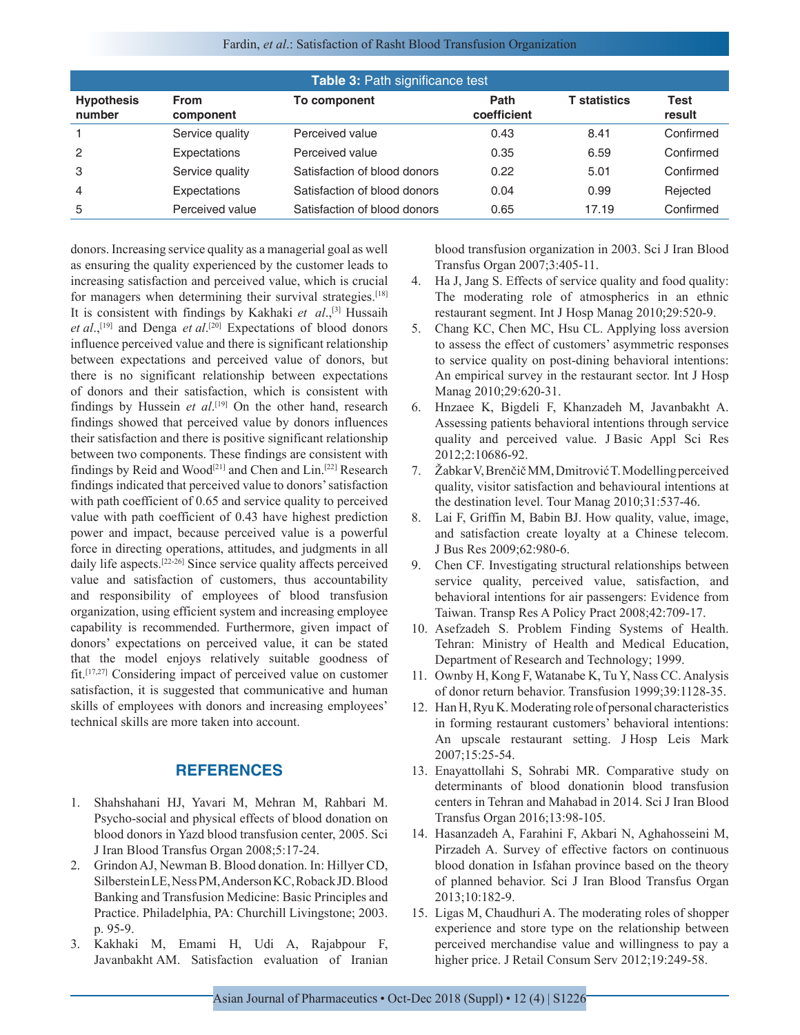| Table 3: Path significance test |                          |                              |                     |                     |                       |  |  |  |
|---------------------------------|--------------------------|------------------------------|---------------------|---------------------|-----------------------|--|--|--|
| <b>Hypothesis</b><br>number     | <b>From</b><br>component | To component                 | Path<br>coefficient | <b>T</b> statistics | <b>Test</b><br>result |  |  |  |
|                                 | Service quality          | Perceived value              | 0.43                | 8.41                | Confirmed             |  |  |  |
| $\overline{2}$                  | Expectations             | Perceived value              | 0.35                | 6.59                | Confirmed             |  |  |  |
| -3                              | Service quality          | Satisfaction of blood donors | 0.22                | 5.01                | Confirmed             |  |  |  |
| $\overline{4}$                  | Expectations             | Satisfaction of blood donors | 0.04                | 0.99                | Rejected              |  |  |  |
| 5                               | Perceived value          | Satisfaction of blood donors | 0.65                | 17.19               | Confirmed             |  |  |  |

donors. Increasing service quality as a managerial goal as well as ensuring the quality experienced by the customer leads to increasing satisfaction and perceived value, which is crucial for managers when determining their survival strategies.[18] It is consistent with findings by Kakhaki *et al.*,<sup>[3]</sup> Hussaih *et al*.,[19] and Denga *et al*. [20] Expectations of blood donors influence perceived value and there is significant relationship between expectations and perceived value of donors, but there is no significant relationship between expectations of donors and their satisfaction, which is consistent with findings by Hussein *et al*.<sup>[19]</sup> On the other hand, research findings showed that perceived value by donors influences their satisfaction and there is positive significant relationship between two components. These findings are consistent with findings by Reid and Wood[21] and Chen and Lin.[22] Research findings indicated that perceived value to donors' satisfaction with path coefficient of 0.65 and service quality to perceived value with path coefficient of 0.43 have highest prediction power and impact, because perceived value is a powerful force in directing operations, attitudes, and judgments in all daily life aspects.[22-26] Since service quality affects perceived value and satisfaction of customers, thus accountability and responsibility of employees of blood transfusion organization, using efficient system and increasing employee capability is recommended. Furthermore, given impact of donors' expectations on perceived value, it can be stated that the model enjoys relatively suitable goodness of fit.[17,27] Considering impact of perceived value on customer satisfaction, it is suggested that communicative and human skills of employees with donors and increasing employees' technical skills are more taken into account.

### **REFERENCES**

- 1. Shahshahani HJ, Yavari M, Mehran M, Rahbari M. Psycho-social and physical effects of blood donation on blood donors in Yazd blood transfusion center, 2005. Sci J Iran Blood Transfus Organ 2008;5:17-24.
- 2. Grindon AJ, Newman B. Blood donation. In: Hillyer CD, Silberstein LE, Ness PM, Anderson KC, Roback JD. Blood Banking and Transfusion Medicine: Basic Principles and Practice. Philadelphia, PA: Churchill Livingstone; 2003. p. 95-9.
- 3. Kakhaki M, Emami H, Udi A, Rajabpour F, Javanbakht AM. Satisfaction evaluation of Iranian

blood transfusion organization in 2003. Sci J Iran Blood Transfus Organ 2007;3:405-11.

- 4. Ha J, Jang S. Effects of service quality and food quality: The moderating role of atmospherics in an ethnic restaurant segment. Int J Hosp Manag 2010;29:520-9.
- 5. Chang KC, Chen MC, Hsu CL. Applying loss aversion to assess the effect of customers' asymmetric responses to service quality on post-dining behavioral intentions: An empirical survey in the restaurant sector. Int J Hosp Manag 2010;29:620-31.
- 6. Hnzaee K, Bigdeli F, Khanzadeh M, Javanbakht A. Assessing patients behavioral intentions through service quality and perceived value. J Basic Appl Sci Res 2012;2:10686-92.
- 7. Žabkar V, Brenčič MM, Dmitrović T. Modelling perceived quality, visitor satisfaction and behavioural intentions at the destination level. Tour Manag 2010;31:537-46.
- 8. Lai F, Griffin M, Babin BJ. How quality, value, image, and satisfaction create loyalty at a Chinese telecom. J Bus Res 2009;62:980-6.
- 9. Chen CF. Investigating structural relationships between service quality, perceived value, satisfaction, and behavioral intentions for air passengers: Evidence from Taiwan. Transp Res A Policy Pract 2008;42:709-17.
- 10. Asefzadeh S. Problem Finding Systems of Health. Tehran: Ministry of Health and Medical Education, Department of Research and Technology; 1999.
- 11. Ownby H, Kong F, Watanabe K, Tu Y, Nass CC. Analysis of donor return behavior. Transfusion 1999;39:1128-35.
- 12. Han H, Ryu K. Moderating role of personal characteristics in forming restaurant customers' behavioral intentions: An upscale restaurant setting. J Hosp Leis Mark 2007;15:25-54.
- 13. Enayattollahi S, Sohrabi MR. Comparative study on determinants of blood donationin blood transfusion centers in Tehran and Mahabad in 2014. Sci J Iran Blood Transfus Organ 2016;13:98-105.
- 14. Hasanzadeh A, Farahini F, Akbari N, Aghahosseini M, Pirzadeh A. Survey of effective factors on continuous blood donation in Isfahan province based on the theory of planned behavior. Sci J Iran Blood Transfus Organ 2013;10:182-9.
- 15. Ligas M, Chaudhuri A. The moderating roles of shopper experience and store type on the relationship between perceived merchandise value and willingness to pay a higher price. J Retail Consum Serv 2012;19:249-58.